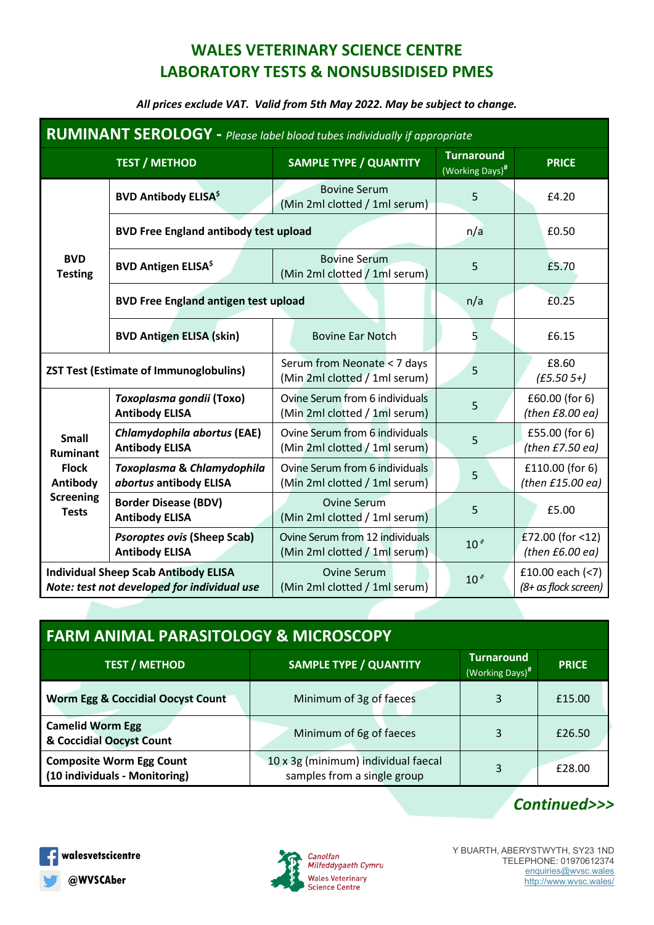## **WALES VETERINARY SCIENCE CENTRE LABORATORY TESTS & NONSUBSIDISED PMES**

## *All prices exclude VAT. Valid from 5th May 2022. May be subject to change.*

| <b>RUMINANT SEROLOGY</b> - Please label blood tubes individually if appropriate                 |                                                             |                                                                  |                                      |                                           |  |  |
|-------------------------------------------------------------------------------------------------|-------------------------------------------------------------|------------------------------------------------------------------|--------------------------------------|-------------------------------------------|--|--|
|                                                                                                 | <b>TEST / METHOD</b>                                        | <b>SAMPLE TYPE / QUANTITY</b>                                    | <b>Turnaround</b><br>(Working Days)# | <b>PRICE</b>                              |  |  |
| <b>BVD</b><br><b>Testing</b>                                                                    | <b>BVD Antibody ELISA<sup>\$</sup></b>                      | <b>Bovine Serum</b><br>(Min 2ml clotted / 1ml serum)             | 5                                    | £4.20                                     |  |  |
|                                                                                                 | <b>BVD Free England antibody test upload</b>                |                                                                  | n/a                                  | £0.50                                     |  |  |
|                                                                                                 | <b>BVD Antigen ELISA</b> \$                                 | <b>Bovine Serum</b><br>(Min 2ml clotted / 1ml serum)             | 5                                    | £5.70                                     |  |  |
|                                                                                                 | <b>BVD Free England antigen test upload</b>                 |                                                                  | n/a                                  | £0.25                                     |  |  |
|                                                                                                 | <b>BVD Antigen ELISA (skin)</b>                             | <b>Bovine Ear Notch</b>                                          | 5                                    | £6.15                                     |  |  |
| <b>ZST Test (Estimate of Immunoglobulins)</b>                                                   |                                                             | Serum from Neonate < 7 days<br>(Min 2ml clotted / 1ml serum)     | 5                                    | £8.60<br>$(E5.505+)$                      |  |  |
| <b>Small</b><br><b>Ruminant</b><br><b>Flock</b><br>Antibody<br><b>Screening</b><br><b>Tests</b> | Toxoplasma gondii (Toxo)<br><b>Antibody ELISA</b>           | Ovine Serum from 6 individuals<br>(Min 2ml clotted / 1ml serum)  | 5                                    | £60.00 (for 6)<br>(then $E8.00$ ea)       |  |  |
|                                                                                                 | Chlamydophila abortus (EAE)<br><b>Antibody ELISA</b>        | Ovine Serum from 6 individuals<br>(Min 2ml clotted / 1ml serum)  | 5                                    | £55.00 (for 6)<br>(then $E7.50$ ea)       |  |  |
|                                                                                                 | Toxoplasma & Chlamydophila<br>abortus antibody ELISA        | Ovine Serum from 6 individuals<br>(Min 2ml clotted / 1ml serum)  | 5                                    | £110.00 (for 6)<br>(then $£15.00$ ea)     |  |  |
|                                                                                                 | <b>Border Disease (BDV)</b><br><b>Antibody ELISA</b>        | <b>Ovine Serum</b><br>(Min 2ml clotted / 1ml serum)              | 5                                    | £5.00                                     |  |  |
|                                                                                                 | <b>Psoroptes ovis (Sheep Scab)</b><br><b>Antibody ELISA</b> | Ovine Serum from 12 individuals<br>(Min 2ml clotted / 1ml serum) | $10*$                                | £72.00 (for <12)<br>(then $E6.00$ ea)     |  |  |
| <b>Individual Sheep Scab Antibody ELISA</b><br>Note: test not developed for individual use      |                                                             | <b>Ovine Serum</b><br>(Min 2ml clotted / 1ml serum)              | $10*$                                | £10.00 each $(7)$<br>(8+ as flock screen) |  |  |

| <b>FARM ANIMAL PARASITOLOGY &amp; MICROSCOPY</b>                 |                                                                    |                                      |              |  |  |  |  |
|------------------------------------------------------------------|--------------------------------------------------------------------|--------------------------------------|--------------|--|--|--|--|
| <b>TEST / METHOD</b>                                             | <b>SAMPLE TYPE / QUANTITY</b>                                      | <b>Turnaround</b><br>(Working Days)# | <b>PRICE</b> |  |  |  |  |
| <b>Worm Egg &amp; Coccidial Oocyst Count</b>                     | Minimum of 3g of faeces                                            | 3                                    | £15.00       |  |  |  |  |
| <b>Camelid Worm Egg</b><br>& Coccidial Oocyst Count              | Minimum of 6g of faeces                                            | 3                                    | £26.50       |  |  |  |  |
| <b>Composite Worm Egg Count</b><br>(10 individuals - Monitoring) | 10 x 3g (minimum) individual faecal<br>samples from a single group | 3                                    | £28.00       |  |  |  |  |





*Continued>>>*